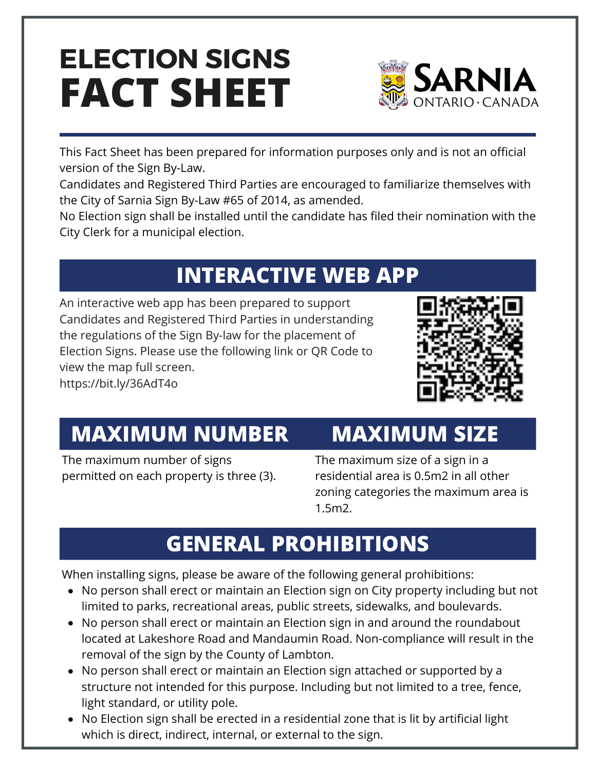# **FACT SHEET ELECTION SIGNS**



This Fact Sheet has been prepared for information purposes only and is not an official version of the Sign By-Law.

Candidates and Registered Third Parties are encouraged to familiarize themselves with the [City of Sarnia Sign By-Law #65 of 2014,](https://sarnia.civicweb.net/filepro/documents/40785?preview=40815) as amended.

No Election sign shall be installed until the candidate has filed their nomination with the City Clerk for a municipal election.

## **INTERACTIVE WEB APP**

An interactive web app has been prepared to support Candidates and Registered Third Parties in understanding the regulations of the Sign By-law for the placement of Election Signs. Please use the following link or QR Code to view the map full screen. <https://bit.ly/36AdT4o>



#### **MAXIMUM NUMBER**

The maximum number of signs permitted on each property is three (3).

#### **MAXIMUM SIZE**

The maximum size of a sign in a residential area is 0.5m2 in all other zoning categories the maximum area is 1.5m2.

## **GENERAL PROHIBITIONS**

When installing signs, please be aware of the following general prohibitions:

- No person shall erect or maintain an Election sign on City property including but not limited to parks, recreational areas, public streets, sidewalks, and boulevards.
- No person shall erect or maintain an Election sign in and around the roundabout located at Lakeshore Road and Mandaumin Road. Non-compliance will result in the removal of the sign by the County of Lambton.
- No person shall erect or maintain an Election sign attached or supported by a structure not intended for this purpose. Including but not limited to a tree, fence, light standard, or utility pole.
- No Election sign shall be erected in a residential zone that is lit by artificial light which is direct, indirect, internal, or external to the sign.